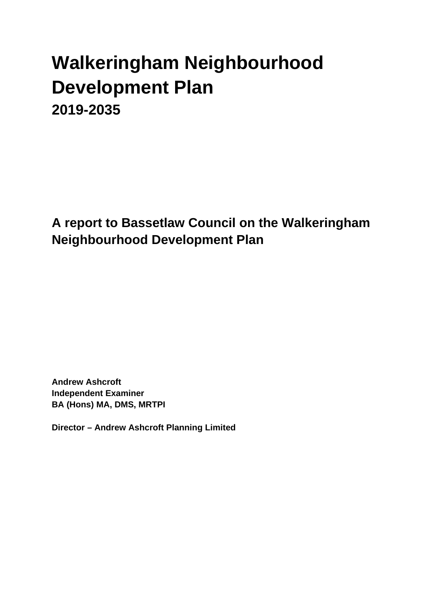# **Walkeringham Neighbourhood Development Plan 2019-2035**

**A report to Bassetlaw Council on the Walkeringham Neighbourhood Development Plan**

**Andrew Ashcroft Independent Examiner BA (Hons) MA, DMS, MRTPI**

**Director – Andrew Ashcroft Planning Limited**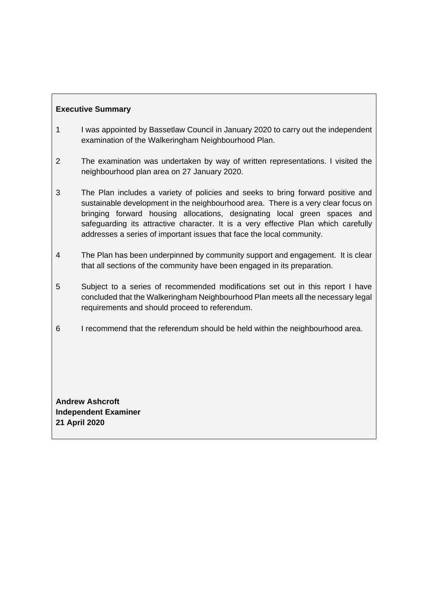# **Executive Summary**

- 1 I was appointed by Bassetlaw Council in January 2020 to carry out the independent examination of the Walkeringham Neighbourhood Plan.
- 2 The examination was undertaken by way of written representations. I visited the neighbourhood plan area on 27 January 2020.
- 3 The Plan includes a variety of policies and seeks to bring forward positive and sustainable development in the neighbourhood area. There is a very clear focus on bringing forward housing allocations, designating local green spaces and safeguarding its attractive character. It is a very effective Plan which carefully addresses a series of important issues that face the local community.
- 4 The Plan has been underpinned by community support and engagement. It is clear that all sections of the community have been engaged in its preparation.
- 5 Subject to a series of recommended modifications set out in this report I have concluded that the Walkeringham Neighbourhood Plan meets all the necessary legal requirements and should proceed to referendum.
- 6 I recommend that the referendum should be held within the neighbourhood area.

**Andrew Ashcroft Independent Examiner 21 April 2020**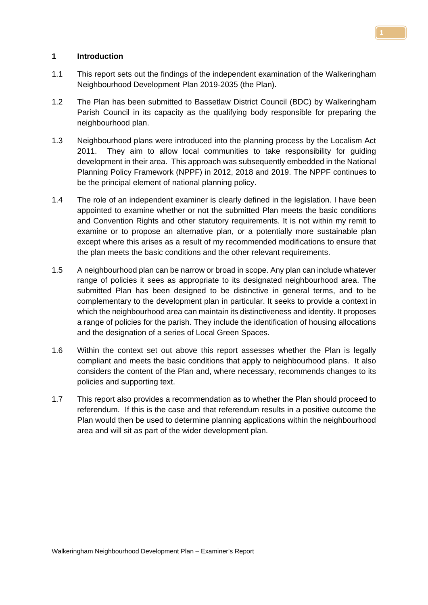## **1 Introduction**

- 1.1 This report sets out the findings of the independent examination of the Walkeringham Neighbourhood Development Plan 2019-2035 (the Plan).
- 1.2 The Plan has been submitted to Bassetlaw District Council (BDC) by Walkeringham Parish Council in its capacity as the qualifying body responsible for preparing the neighbourhood plan.
- 1.3 Neighbourhood plans were introduced into the planning process by the Localism Act 2011. They aim to allow local communities to take responsibility for guiding development in their area. This approach was subsequently embedded in the National Planning Policy Framework (NPPF) in 2012, 2018 and 2019. The NPPF continues to be the principal element of national planning policy.
- 1.4 The role of an independent examiner is clearly defined in the legislation. I have been appointed to examine whether or not the submitted Plan meets the basic conditions and Convention Rights and other statutory requirements. It is not within my remit to examine or to propose an alternative plan, or a potentially more sustainable plan except where this arises as a result of my recommended modifications to ensure that the plan meets the basic conditions and the other relevant requirements.
- 1.5 A neighbourhood plan can be narrow or broad in scope. Any plan can include whatever range of policies it sees as appropriate to its designated neighbourhood area. The submitted Plan has been designed to be distinctive in general terms, and to be complementary to the development plan in particular. It seeks to provide a context in which the neighbourhood area can maintain its distinctiveness and identity. It proposes a range of policies for the parish. They include the identification of housing allocations and the designation of a series of Local Green Spaces.
- 1.6 Within the context set out above this report assesses whether the Plan is legally compliant and meets the basic conditions that apply to neighbourhood plans. It also considers the content of the Plan and, where necessary, recommends changes to its policies and supporting text.
- 1.7 This report also provides a recommendation as to whether the Plan should proceed to referendum. If this is the case and that referendum results in a positive outcome the Plan would then be used to determine planning applications within the neighbourhood area and will sit as part of the wider development plan.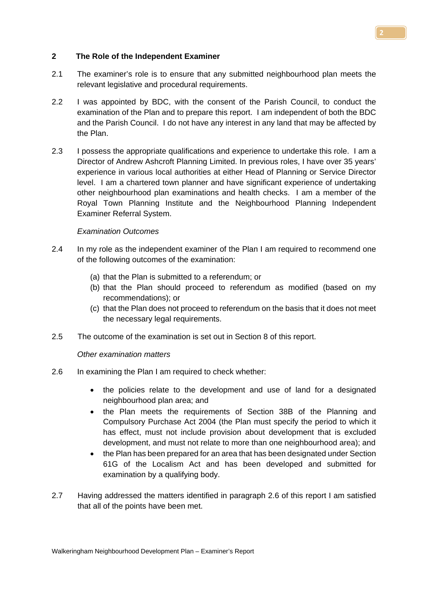## **2 The Role of the Independent Examiner**

- 2.1 The examiner's role is to ensure that any submitted neighbourhood plan meets the relevant legislative and procedural requirements.
- 2.2 I was appointed by BDC, with the consent of the Parish Council, to conduct the examination of the Plan and to prepare this report. I am independent of both the BDC and the Parish Council. I do not have any interest in any land that may be affected by the Plan.
- 2.3 I possess the appropriate qualifications and experience to undertake this role. I am a Director of Andrew Ashcroft Planning Limited. In previous roles, I have over 35 years' experience in various local authorities at either Head of Planning or Service Director level. I am a chartered town planner and have significant experience of undertaking other neighbourhood plan examinations and health checks. I am a member of the Royal Town Planning Institute and the Neighbourhood Planning Independent Examiner Referral System.

#### *Examination Outcomes*

- 2.4 In my role as the independent examiner of the Plan I am required to recommend one of the following outcomes of the examination:
	- (a) that the Plan is submitted to a referendum; or
	- (b) that the Plan should proceed to referendum as modified (based on my recommendations); or
	- (c) that the Plan does not proceed to referendum on the basis that it does not meet the necessary legal requirements.
- 2.5 The outcome of the examination is set out in Section 8 of this report.

#### *Other examination matters*

- 2.6 In examining the Plan I am required to check whether:
	- the policies relate to the development and use of land for a designated neighbourhood plan area; and
	- the Plan meets the requirements of Section 38B of the Planning and Compulsory Purchase Act 2004 (the Plan must specify the period to which it has effect, must not include provision about development that is excluded development, and must not relate to more than one neighbourhood area); and
	- the Plan has been prepared for an area that has been designated under Section 61G of the Localism Act and has been developed and submitted for examination by a qualifying body.
- 2.7 Having addressed the matters identified in paragraph 2.6 of this report I am satisfied that all of the points have been met.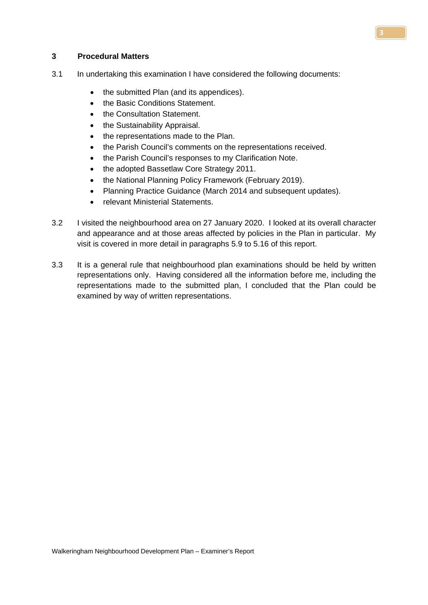## **3 Procedural Matters**

- 3.1 In undertaking this examination I have considered the following documents:
	- the submitted Plan (and its appendices).
	- the Basic Conditions Statement.
	- the Consultation Statement.
	- the Sustainability Appraisal.
	- the representations made to the Plan.
	- the Parish Council's comments on the representations received.
	- the Parish Council's responses to my Clarification Note.
	- the adopted Bassetlaw Core Strategy 2011.
	- the National Planning Policy Framework (February 2019).
	- Planning Practice Guidance (March 2014 and subsequent updates).
	- relevant Ministerial Statements.
- 3.2 I visited the neighbourhood area on 27 January 2020. I looked at its overall character and appearance and at those areas affected by policies in the Plan in particular. My visit is covered in more detail in paragraphs 5.9 to 5.16 of this report.
- 3.3 It is a general rule that neighbourhood plan examinations should be held by written representations only. Having considered all the information before me, including the representations made to the submitted plan, I concluded that the Plan could be examined by way of written representations.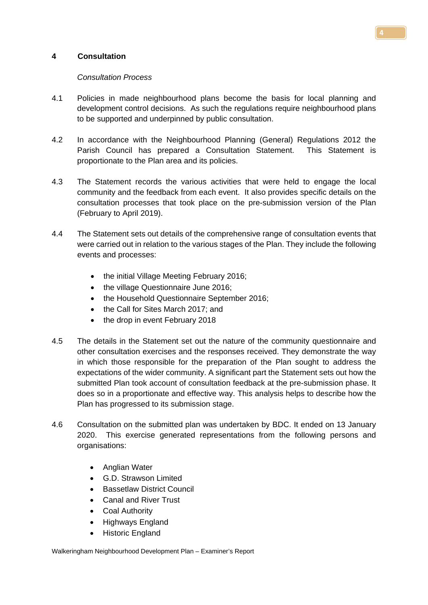## **4 Consultation**

## *Consultation Process*

- 4.1 Policies in made neighbourhood plans become the basis for local planning and development control decisions. As such the regulations require neighbourhood plans to be supported and underpinned by public consultation.
- 4.2 In accordance with the Neighbourhood Planning (General) Regulations 2012 the Parish Council has prepared a Consultation Statement. This Statement is proportionate to the Plan area and its policies.
- 4.3 The Statement records the various activities that were held to engage the local community and the feedback from each event. It also provides specific details on the consultation processes that took place on the pre-submission version of the Plan (February to April 2019).
- 4.4 The Statement sets out details of the comprehensive range of consultation events that were carried out in relation to the various stages of the Plan. They include the following events and processes:
	- the initial Village Meeting February 2016;
	- the village Questionnaire June 2016:
	- the Household Questionnaire September 2016;
	- the Call for Sites March 2017; and
	- the drop in event February 2018
- 4.5 The details in the Statement set out the nature of the community questionnaire and other consultation exercises and the responses received. They demonstrate the way in which those responsible for the preparation of the Plan sought to address the expectations of the wider community. A significant part the Statement sets out how the submitted Plan took account of consultation feedback at the pre-submission phase. It does so in a proportionate and effective way. This analysis helps to describe how the Plan has progressed to its submission stage.
- 4.6 Consultation on the submitted plan was undertaken by BDC. It ended on 13 January 2020. This exercise generated representations from the following persons and organisations:
	- Anglian Water
	- G.D. Strawson Limited
	- Bassetlaw District Council
	- Canal and River Trust
	- Coal Authority
	- Highways England
	- Historic England

Walkeringham Neighbourhood Development Plan – Examiner's Report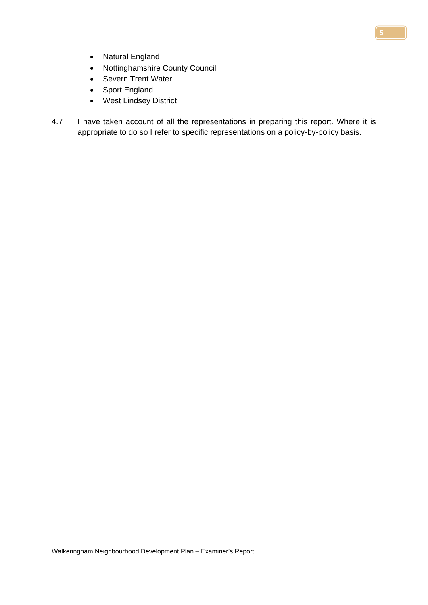- Natural England
- Nottinghamshire County Council
- Severn Trent Water
- Sport England
- West Lindsey District
- 4.7 I have taken account of all the representations in preparing this report. Where it is appropriate to do so I refer to specific representations on a policy-by-policy basis.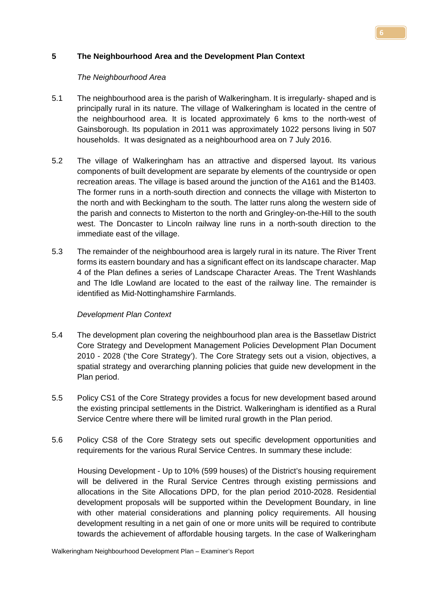## **5 The Neighbourhood Area and the Development Plan Context**

## *The Neighbourhood Area*

- 5.1 The neighbourhood area is the parish of Walkeringham. It is irregularly- shaped and is principally rural in its nature. The village of Walkeringham is located in the centre of the neighbourhood area. It is located approximately 6 kms to the north-west of Gainsborough. Its population in 2011 was approximately 1022 persons living in 507 households. It was designated as a neighbourhood area on 7 July 2016.
- 5.2 The village of Walkeringham has an attractive and dispersed layout. Its various components of built development are separate by elements of the countryside or open recreation areas. The village is based around the junction of the A161 and the B1403. The former runs in a north-south direction and connects the village with Misterton to the north and with Beckingham to the south. The latter runs along the western side of the parish and connects to Misterton to the north and Gringley-on-the-Hill to the south west. The Doncaster to Lincoln railway line runs in a north-south direction to the immediate east of the village.
- 5.3 The remainder of the neighbourhood area is largely rural in its nature. The River Trent forms its eastern boundary and has a significant effect on its landscape character. Map 4 of the Plan defines a series of Landscape Character Areas. The Trent Washlands and The Idle Lowland are located to the east of the railway line. The remainder is identified as Mid-Nottinghamshire Farmlands.

# *Development Plan Context*

- 5.4 The development plan covering the neighbourhood plan area is the Bassetlaw District Core Strategy and Development Management Policies Development Plan Document 2010 - 2028 ('the Core Strategy'). The [Core Strategy](http://molevalley-consult.limehouse.co.uk/portal/cs/cs_-_adopted_oct_2009/core_strategy_-_adopted_october_2009_1?pointId=906692) sets out a vision, objectives, a spatial strategy and overarching planning policies that guide new development in the Plan period.
- 5.5 Policy CS1 of the Core Strategy provides a focus for new development based around the existing principal settlements in the District. Walkeringham is identified as a Rural Service Centre where there will be limited rural growth in the Plan period.
- 5.6 Policy CS8 of the Core Strategy sets out specific development opportunities and requirements for the various Rural Service Centres. In summary these include:

Housing Development - Up to 10% (599 houses) of the District's housing requirement will be delivered in the Rural Service Centres through existing permissions and allocations in the Site Allocations DPD, for the plan period 2010-2028. Residential development proposals will be supported within the Development Boundary, in line with other material considerations and planning policy requirements. All housing development resulting in a net gain of one or more units will be required to contribute towards the achievement of affordable housing targets. In the case of Walkeringham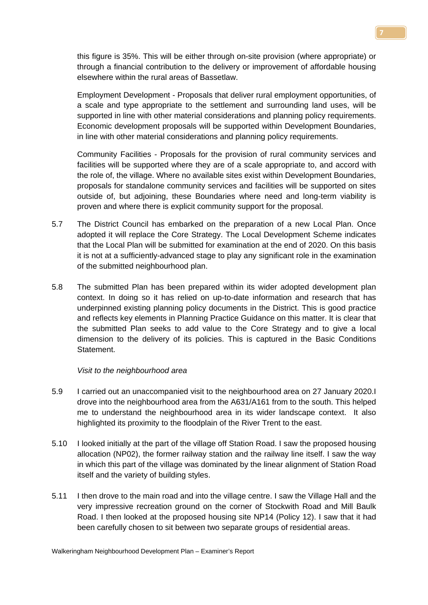this figure is 35%. This will be either through on-site provision (where appropriate) or through a financial contribution to the delivery or improvement of affordable housing elsewhere within the rural areas of Bassetlaw.

Employment Development - Proposals that deliver rural employment opportunities, of a scale and type appropriate to the settlement and surrounding land uses, will be supported in line with other material considerations and planning policy requirements. Economic development proposals will be supported within Development Boundaries, in line with other material considerations and planning policy requirements.

Community Facilities - Proposals for the provision of rural community services and facilities will be supported where they are of a scale appropriate to, and accord with the role of, the village. Where no available sites exist within Development Boundaries, proposals for standalone community services and facilities will be supported on sites outside of, but adjoining, these Boundaries where need and long-term viability is proven and where there is explicit community support for the proposal.

- 5.7 The District Council has embarked on the preparation of a new Local Plan. Once adopted it will replace the Core Strategy. The Local Development Scheme indicates that the Local Plan will be submitted for examination at the end of 2020. On this basis it is not at a sufficiently-advanced stage to play any significant role in the examination of the submitted neighbourhood plan.
- 5.8 The submitted Plan has been prepared within its wider adopted development plan context. In doing so it has relied on up-to-date information and research that has underpinned existing planning policy documents in the District. This is good practice and reflects key elements in Planning Practice Guidance on this matter. It is clear that the submitted Plan seeks to add value to the Core Strategy and to give a local dimension to the delivery of its policies. This is captured in the Basic Conditions Statement.

#### *Visit to the neighbourhood area*

- 5.9 I carried out an unaccompanied visit to the neighbourhood area on 27 January 2020.I drove into the neighbourhood area from the A631/A161 from to the south. This helped me to understand the neighbourhood area in its wider landscape context. It also highlighted its proximity to the floodplain of the River Trent to the east.
- 5.10 I looked initially at the part of the village off Station Road. I saw the proposed housing allocation (NP02), the former railway station and the railway line itself. I saw the way in which this part of the village was dominated by the linear alignment of Station Road itself and the variety of building styles.
- 5.11 I then drove to the main road and into the village centre. I saw the Village Hall and the very impressive recreation ground on the corner of Stockwith Road and Mill Baulk Road. I then looked at the proposed housing site NP14 (Policy 12). I saw that it had been carefully chosen to sit between two separate groups of residential areas.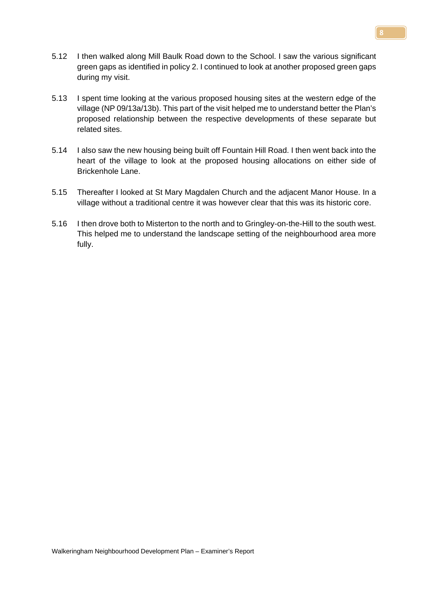green gaps as identified in policy 2. I continued to look at another proposed green gaps during my visit.

5.12 I then walked along Mill Baulk Road down to the School. I saw the various significant

- 5.13 I spent time looking at the various proposed housing sites at the western edge of the village (NP 09/13a/13b). This part of the visit helped me to understand better the Plan's proposed relationship between the respective developments of these separate but related sites.
- 5.14 I also saw the new housing being built off Fountain Hill Road. I then went back into the heart of the village to look at the proposed housing allocations on either side of Brickenhole Lane.
- 5.15 Thereafter I looked at St Mary Magdalen Church and the adjacent Manor House. In a village without a traditional centre it was however clear that this was its historic core.
- 5.16 I then drove both to Misterton to the north and to Gringley-on-the-Hill to the south west. This helped me to understand the landscape setting of the neighbourhood area more fully.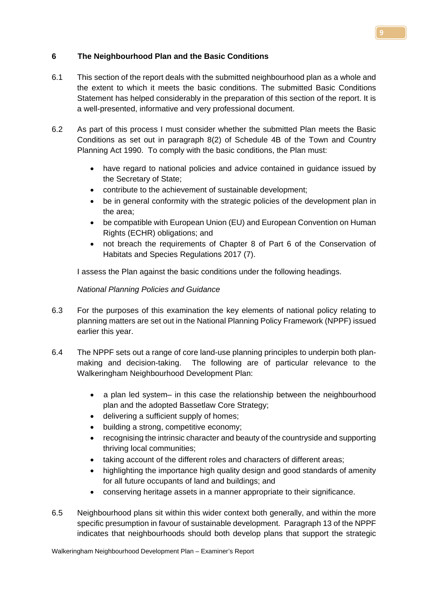# **6 The Neighbourhood Plan and the Basic Conditions**

- 6.1 This section of the report deals with the submitted neighbourhood plan as a whole and the extent to which it meets the basic conditions. The submitted Basic Conditions Statement has helped considerably in the preparation of this section of the report. It is a well-presented, informative and very professional document.
- 6.2 As part of this process I must consider whether the submitted Plan meets the Basic Conditions as set out in paragraph 8(2) of Schedule 4B of the Town and Country Planning Act 1990. To comply with the basic conditions, the Plan must:
	- have regard to national policies and advice contained in guidance issued by the Secretary of State;
	- contribute to the achievement of sustainable development;
	- be in general conformity with the strategic policies of the development plan in the area;
	- be compatible with European Union (EU) and European Convention on Human Rights (ECHR) obligations; and
	- not breach the requirements of Chapter 8 of Part 6 of the Conservation of Habitats and Species Regulations 2017 (7).

I assess the Plan against the basic conditions under the following headings.

# *National Planning Policies and Guidance*

- 6.3 For the purposes of this examination the key elements of national policy relating to planning matters are set out in the National Planning Policy Framework (NPPF) issued earlier this year.
- 6.4 The NPPF sets out a range of core land-use planning principles to underpin both planmaking and decision-taking. The following are of particular relevance to the Walkeringham Neighbourhood Development Plan:
	- a plan led system– in this case the relationship between the neighbourhood plan and the adopted Bassetlaw Core Strategy;
	- delivering a sufficient supply of homes;
	- building a strong, competitive economy;
	- recognising the intrinsic character and beauty of the countryside and supporting thriving local communities;
	- taking account of the different roles and characters of different areas;
	- highlighting the importance high quality design and good standards of amenity for all future occupants of land and buildings; and
	- conserving heritage assets in a manner appropriate to their significance.
- 6.5 Neighbourhood plans sit within this wider context both generally, and within the more specific presumption in favour of sustainable development. Paragraph 13 of the NPPF indicates that neighbourhoods should both develop plans that support the strategic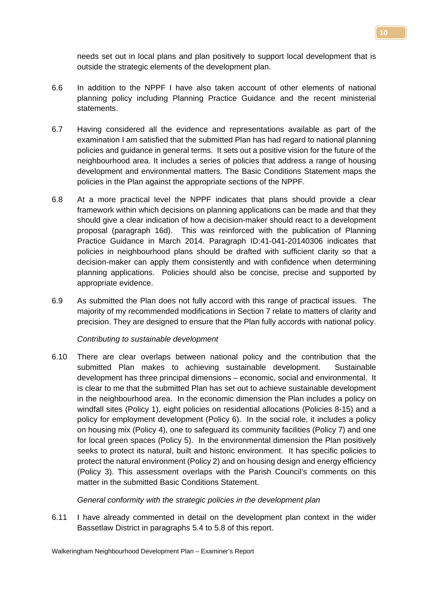needs set out in local plans and plan positively to support local development that is outside the strategic elements of the development plan.

- 6.6 In addition to the NPPF I have also taken account of other elements of national planning policy including Planning Practice Guidance and the recent ministerial statements.
- 6.7 Having considered all the evidence and representations available as part of the examination I am satisfied that the submitted Plan has had regard to national planning policies and guidance in general terms. It sets out a positive vision for the future of the neighbourhood area. It includes a series of policies that address a range of housing development and environmental matters. The Basic Conditions Statement maps the policies in the Plan against the appropriate sections of the NPPF.
- 6.8 At a more practical level the NPPF indicates that plans should provide a clear framework within which decisions on planning applications can be made and that they should give a clear indication of how a decision-maker should react to a development proposal (paragraph 16d). This was reinforced with the publication of Planning Practice Guidance in March 2014. Paragraph ID:41-041-20140306 indicates that policies in neighbourhood plans should be drafted with sufficient clarity so that a decision-maker can apply them consistently and with confidence when determining planning applications. Policies should also be concise, precise and supported by appropriate evidence.
- 6.9 As submitted the Plan does not fully accord with this range of practical issues. The majority of my recommended modifications in Section 7 relate to matters of clarity and precision. They are designed to ensure that the Plan fully accords with national policy.

## *Contributing to sustainable development*

6.10 There are clear overlaps between national policy and the contribution that the submitted Plan makes to achieving sustainable development. Sustainable development has three principal dimensions – economic, social and environmental. It is clear to me that the submitted Plan has set out to achieve sustainable development in the neighbourhood area. In the economic dimension the Plan includes a policy on windfall sites (Policy 1), eight policies on residential allocations (Policies 8-15) and a policy for employment development (Policy 6). In the social role, it includes a policy on housing mix (Policy 4), one to safeguard its community facilities (Policy 7) and one for local green spaces (Policy 5). In the environmental dimension the Plan positively seeks to protect its natural, built and historic environment. It has specific policies to protect the natural environment (Policy 2) and on housing design and energy efficiency (Policy 3). This assessment overlaps with the Parish Council's comments on this matter in the submitted Basic Conditions Statement.

## *General conformity with the strategic policies in the development plan*

6.11 I have already commented in detail on the development plan context in the wider Bassetlaw District in paragraphs 5.4 to 5.8 of this report.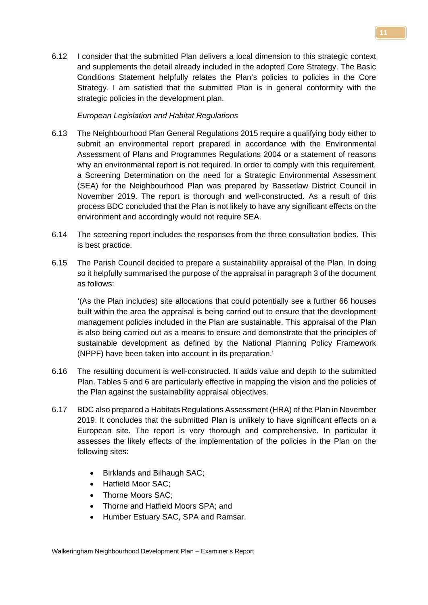6.12 I consider that the submitted Plan delivers a local dimension to this strategic context and supplements the detail already included in the adopted Core Strategy. The Basic Conditions Statement helpfully relates the Plan's policies to policies in the Core Strategy. I am satisfied that the submitted Plan is in general conformity with the strategic policies in the development plan.

## *European Legislation and Habitat Regulations*

- 6.13 The Neighbourhood Plan General Regulations 2015 require a qualifying body either to submit an environmental report prepared in accordance with the Environmental Assessment of Plans and Programmes Regulations 2004 or a statement of reasons why an environmental report is not required. In order to comply with this requirement, a Screening Determination on the need for a Strategic Environmental Assessment (SEA) for the Neighbourhood Plan was prepared by Bassetlaw District Council in November 2019. The report is thorough and well-constructed. As a result of this process BDC concluded that the Plan is not likely to have any significant effects on the environment and accordingly would not require SEA.
- 6.14 The screening report includes the responses from the three consultation bodies. This is best practice.
- 6.15 The Parish Council decided to prepare a sustainability appraisal of the Plan. In doing so it helpfully summarised the purpose of the appraisal in paragraph 3 of the document as follows:

'(As the Plan includes) site allocations that could potentially see a further 66 houses built within the area the appraisal is being carried out to ensure that the development management policies included in the Plan are sustainable. This appraisal of the Plan is also being carried out as a means to ensure and demonstrate that the principles of sustainable development as defined by the National Planning Policy Framework (NPPF) have been taken into account in its preparation.'

- 6.16 The resulting document is well-constructed. It adds value and depth to the submitted Plan. Tables 5 and 6 are particularly effective in mapping the vision and the policies of the Plan against the sustainability appraisal objectives.
- 6.17 BDC also prepared a Habitats Regulations Assessment (HRA) of the Plan in November 2019. It concludes that the submitted Plan is unlikely to have significant effects on a European site. The report is very thorough and comprehensive. In particular it assesses the likely effects of the implementation of the policies in the Plan on the following sites:
	- Birklands and Bilhaugh SAC;
	- Hatfield Moor SAC;
	- Thorne Moors SAC:
	- Thorne and Hatfield Moors SPA; and
	- Humber Estuary SAC, SPA and Ramsar.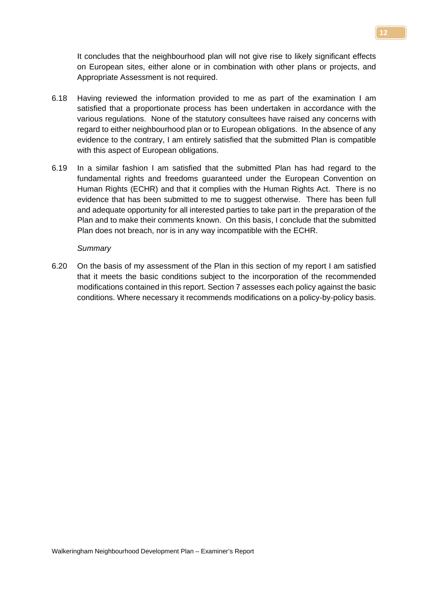It concludes that the neighbourhood plan will not give rise to likely significant effects on European sites, either alone or in combination with other plans or projects, and Appropriate Assessment is not required.

- 6.18 Having reviewed the information provided to me as part of the examination I am satisfied that a proportionate process has been undertaken in accordance with the various regulations. None of the statutory consultees have raised any concerns with regard to either neighbourhood plan or to European obligations. In the absence of any evidence to the contrary, I am entirely satisfied that the submitted Plan is compatible with this aspect of European obligations.
- 6.19 In a similar fashion I am satisfied that the submitted Plan has had regard to the fundamental rights and freedoms guaranteed under the European Convention on Human Rights (ECHR) and that it complies with the Human Rights Act. There is no evidence that has been submitted to me to suggest otherwise. There has been full and adequate opportunity for all interested parties to take part in the preparation of the Plan and to make their comments known. On this basis, I conclude that the submitted Plan does not breach, nor is in any way incompatible with the ECHR.

#### *Summary*

6.20 On the basis of my assessment of the Plan in this section of my report I am satisfied that it meets the basic conditions subject to the incorporation of the recommended modifications contained in this report. Section 7 assesses each policy against the basic conditions. Where necessary it recommends modifications on a policy-by-policy basis.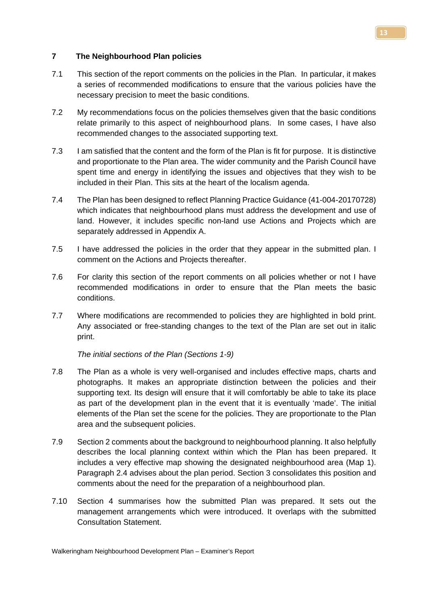## **7 The Neighbourhood Plan policies**

- 7.1 This section of the report comments on the policies in the Plan. In particular, it makes a series of recommended modifications to ensure that the various policies have the necessary precision to meet the basic conditions.
- 7.2 My recommendations focus on the policies themselves given that the basic conditions relate primarily to this aspect of neighbourhood plans. In some cases, I have also recommended changes to the associated supporting text.
- 7.3 I am satisfied that the content and the form of the Plan is fit for purpose. It is distinctive and proportionate to the Plan area. The wider community and the Parish Council have spent time and energy in identifying the issues and objectives that they wish to be included in their Plan. This sits at the heart of the localism agenda.
- 7.4 The Plan has been designed to reflect Planning Practice Guidance (41-004-20170728) which indicates that neighbourhood plans must address the development and use of land. However, it includes specific non-land use Actions and Projects which are separately addressed in Appendix A.
- 7.5 I have addressed the policies in the order that they appear in the submitted plan. I comment on the Actions and Projects thereafter.
- 7.6 For clarity this section of the report comments on all policies whether or not I have recommended modifications in order to ensure that the Plan meets the basic conditions.
- 7.7 Where modifications are recommended to policies they are highlighted in bold print. Any associated or free-standing changes to the text of the Plan are set out in italic print.

*The initial sections of the Plan (Sections 1-9)*

- 7.8 The Plan as a whole is very well-organised and includes effective maps, charts and photographs. It makes an appropriate distinction between the policies and their supporting text. Its design will ensure that it will comfortably be able to take its place as part of the development plan in the event that it is eventually 'made'. The initial elements of the Plan set the scene for the policies. They are proportionate to the Plan area and the subsequent policies.
- 7.9 Section 2 comments about the background to neighbourhood planning. It also helpfully describes the local planning context within which the Plan has been prepared. It includes a very effective map showing the designated neighbourhood area (Map 1). Paragraph 2.4 advises about the plan period. Section 3 consolidates this position and comments about the need for the preparation of a neighbourhood plan.
- 7.10 Section 4 summarises how the submitted Plan was prepared. It sets out the management arrangements which were introduced. It overlaps with the submitted Consultation Statement.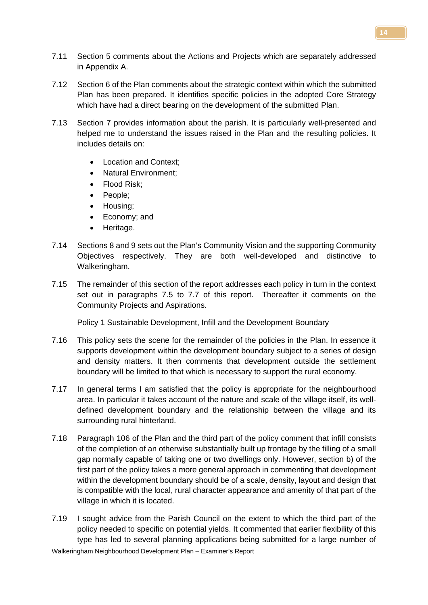- 7.11 Section 5 comments about the Actions and Projects which are separately addressed in Appendix A.
- 7.12 Section 6 of the Plan comments about the strategic context within which the submitted Plan has been prepared. It identifies specific policies in the adopted Core Strategy which have had a direct bearing on the development of the submitted Plan.
- 7.13 Section 7 provides information about the parish. It is particularly well-presented and helped me to understand the issues raised in the Plan and the resulting policies. It includes details on:
	- Location and Context:
	- Natural Environment;
	- Flood Risk;
	- People;
	- Housing;
	- Economy; and
	- Heritage.
- 7.14 Sections 8 and 9 sets out the Plan's Community Vision and the supporting Community Objectives respectively. They are both well-developed and distinctive to Walkeringham.
- 7.15 The remainder of this section of the report addresses each policy in turn in the context set out in paragraphs 7.5 to 7.7 of this report. Thereafter it comments on the Community Projects and Aspirations.

Policy 1 Sustainable Development, Infill and the Development Boundary

- 7.16 This policy sets the scene for the remainder of the policies in the Plan. In essence it supports development within the development boundary subject to a series of design and density matters. It then comments that development outside the settlement boundary will be limited to that which is necessary to support the rural economy.
- 7.17 In general terms I am satisfied that the policy is appropriate for the neighbourhood area. In particular it takes account of the nature and scale of the village itself, its welldefined development boundary and the relationship between the village and its surrounding rural hinterland.
- 7.18 Paragraph 106 of the Plan and the third part of the policy comment that infill consists of the completion of an otherwise substantially built up frontage by the filling of a small gap normally capable of taking one or two dwellings only. However, section b) of the first part of the policy takes a more general approach in commenting that development within the development boundary should be of a scale, density, layout and design that is compatible with the local, rural character appearance and amenity of that part of the village in which it is located.
- Walkeringham Neighbourhood Development Plan Examiner's Report 7.19 I sought advice from the Parish Council on the extent to which the third part of the policy needed to specific on potential yields. It commented that earlier flexibility of this type has led to several planning applications being submitted for a large number of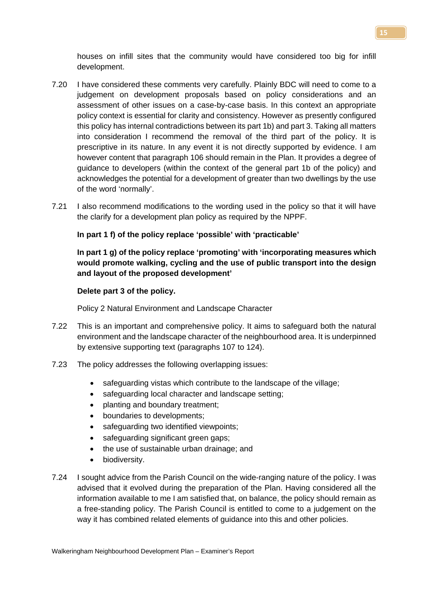houses on infill sites that the community would have considered too big for infill development.

- 7.20 I have considered these comments very carefully. Plainly BDC will need to come to a judgement on development proposals based on policy considerations and an assessment of other issues on a case-by-case basis. In this context an appropriate policy context is essential for clarity and consistency. However as presently configured this policy has internal contradictions between its part 1b) and part 3. Taking all matters into consideration I recommend the removal of the third part of the policy. It is prescriptive in its nature. In any event it is not directly supported by evidence. I am however content that paragraph 106 should remain in the Plan. It provides a degree of guidance to developers (within the context of the general part 1b of the policy) and acknowledges the potential for a development of greater than two dwellings by the use of the word 'normally'.
- 7.21 I also recommend modifications to the wording used in the policy so that it will have the clarify for a development plan policy as required by the NPPF.

## **In part 1 f) of the policy replace 'possible' with 'practicable'**

**In part 1 g) of the policy replace 'promoting' with 'incorporating measures which would promote walking, cycling and the use of public transport into the design and layout of the proposed development'**

## **Delete part 3 of the policy.**

Policy 2 Natural Environment and Landscape Character

- 7.22 This is an important and comprehensive policy. It aims to safeguard both the natural environment and the landscape character of the neighbourhood area. It is underpinned by extensive supporting text (paragraphs 107 to 124).
- 7.23 The policy addresses the following overlapping issues:
	- safeguarding vistas which contribute to the landscape of the village;
	- safeguarding local character and landscape setting;
	- planting and boundary treatment;
	- boundaries to developments;
	- safeguarding two identified viewpoints;
	- safeguarding significant green gaps;
	- the use of sustainable urban drainage; and
	- biodiversity.
- 7.24 I sought advice from the Parish Council on the wide-ranging nature of the policy. I was advised that it evolved during the preparation of the Plan. Having considered all the information available to me I am satisfied that, on balance, the policy should remain as a free-standing policy. The Parish Council is entitled to come to a judgement on the way it has combined related elements of guidance into this and other policies.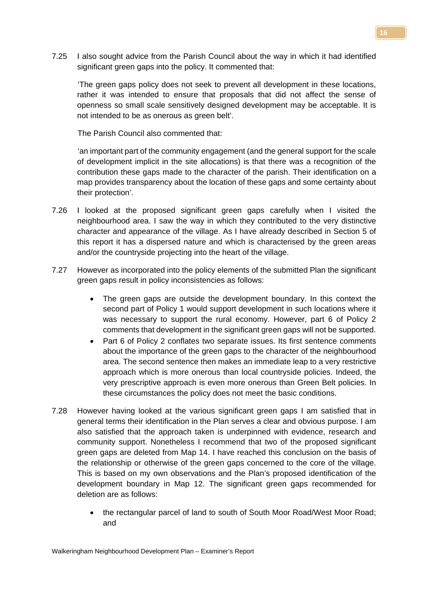7.25 I also sought advice from the Parish Council about the way in which it had identified significant green gaps into the policy. It commented that:

'The green gaps policy does not seek to prevent all development in these locations, rather it was intended to ensure that proposals that did not affect the sense of openness so small scale sensitively designed development may be acceptable. It is not intended to be as onerous as green belt'.

The Parish Council also commented that:

'an important part of the community engagement (and the general support for the scale of development implicit in the site allocations) is that there was a recognition of the contribution these gaps made to the character of the parish. Their identification on a map provides transparency about the location of these gaps and some certainty about their protection'.

- 7.26 I looked at the proposed significant green gaps carefully when I visited the neighbourhood area. I saw the way in which they contributed to the very distinctive character and appearance of the village. As I have already described in Section 5 of this report it has a dispersed nature and which is characterised by the green areas and/or the countryside projecting into the heart of the village.
- 7.27 However as incorporated into the policy elements of the submitted Plan the significant green gaps result in policy inconsistencies as follows:
	- The green gaps are outside the development boundary. In this context the second part of Policy 1 would support development in such locations where it was necessary to support the rural economy. However, part 6 of Policy 2 comments that development in the significant green gaps will not be supported.
	- Part 6 of Policy 2 conflates two separate issues. Its first sentence comments about the importance of the green gaps to the character of the neighbourhood area. The second sentence then makes an immediate leap to a very restrictive approach which is more onerous than local countryside policies. Indeed, the very prescriptive approach is even more onerous than Green Belt policies. In these circumstances the policy does not meet the basic conditions.
- 7.28 However having looked at the various significant green gaps I am satisfied that in general terms their identification in the Plan serves a clear and obvious purpose. I am also satisfied that the approach taken is underpinned with evidence, research and community support. Nonetheless I recommend that two of the proposed significant green gaps are deleted from Map 14. I have reached this conclusion on the basis of the relationship or otherwise of the green gaps concerned to the core of the village. This is based on my own observations and the Plan's proposed identification of the development boundary in Map 12. The significant green gaps recommended for deletion are as follows:
	- the rectangular parcel of land to south of South Moor Road/West Moor Road; and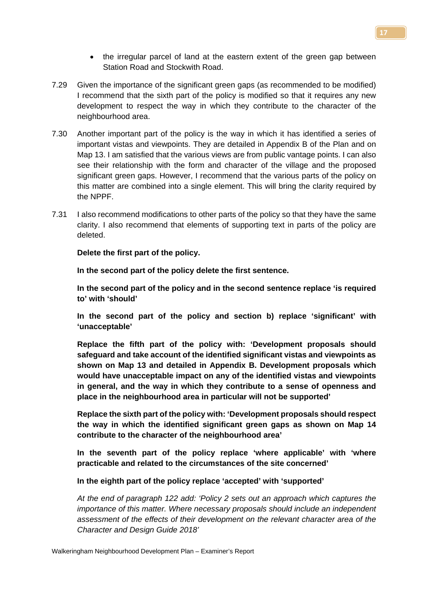- the irregular parcel of land at the eastern extent of the green gap between Station Road and Stockwith Road.
- 7.29 Given the importance of the significant green gaps (as recommended to be modified) I recommend that the sixth part of the policy is modified so that it requires any new development to respect the way in which they contribute to the character of the neighbourhood area.
- 7.30 Another important part of the policy is the way in which it has identified a series of important vistas and viewpoints. They are detailed in Appendix B of the Plan and on Map 13. I am satisfied that the various views are from public vantage points. I can also see their relationship with the form and character of the village and the proposed significant green gaps. However, I recommend that the various parts of the policy on this matter are combined into a single element. This will bring the clarity required by the NPPF.
- 7.31 I also recommend modifications to other parts of the policy so that they have the same clarity. I also recommend that elements of supporting text in parts of the policy are deleted.

**Delete the first part of the policy.**

**In the second part of the policy delete the first sentence.**

**In the second part of the policy and in the second sentence replace 'is required to' with 'should'**

**In the second part of the policy and section b) replace 'significant' with 'unacceptable'**

**Replace the fifth part of the policy with: 'Development proposals should safeguard and take account of the identified significant vistas and viewpoints as shown on Map 13 and detailed in Appendix B. Development proposals which would have unacceptable impact on any of the identified vistas and viewpoints in general, and the way in which they contribute to a sense of openness and place in the neighbourhood area in particular will not be supported'**

**Replace the sixth part of the policy with: 'Development proposals should respect the way in which the identified significant green gaps as shown on Map 14 contribute to the character of the neighbourhood area'**

**In the seventh part of the policy replace 'where applicable' with 'where practicable and related to the circumstances of the site concerned'**

**In the eighth part of the policy replace 'accepted' with 'supported'**

*At the end of paragraph 122 add: 'Policy 2 sets out an approach which captures the importance of this matter. Where necessary proposals should include an independent assessment of the effects of their development on the relevant character area of the Character and Design Guide 2018'*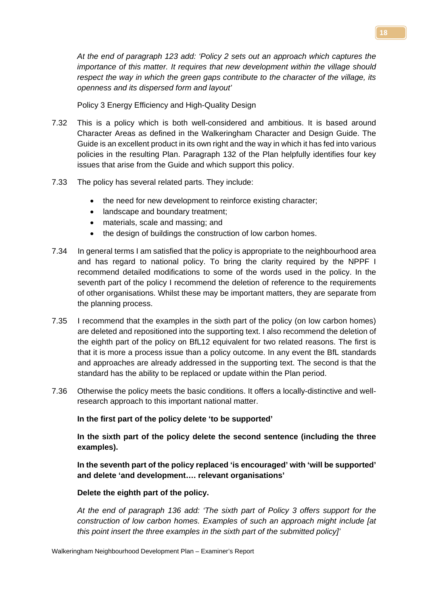*At the end of paragraph 123 add: 'Policy 2 sets out an approach which captures the importance of this matter. It requires that new development within the village should respect the way in which the green gaps contribute to the character of the village, its openness and its dispersed form and layout'*

Policy 3 Energy Efficiency and High-Quality Design

- 7.32 This is a policy which is both well-considered and ambitious. It is based around Character Areas as defined in the Walkeringham Character and Design Guide. The Guide is an excellent product in its own right and the way in which it has fed into various policies in the resulting Plan. Paragraph 132 of the Plan helpfully identifies four key issues that arise from the Guide and which support this policy.
- 7.33 The policy has several related parts. They include:
	- the need for new development to reinforce existing character;
	- landscape and boundary treatment;
	- materials, scale and massing; and
	- the design of buildings the construction of low carbon homes.
- 7.34 In general terms I am satisfied that the policy is appropriate to the neighbourhood area and has regard to national policy. To bring the clarity required by the NPPF I recommend detailed modifications to some of the words used in the policy. In the seventh part of the policy I recommend the deletion of reference to the requirements of other organisations. Whilst these may be important matters, they are separate from the planning process.
- 7.35 I recommend that the examples in the sixth part of the policy (on low carbon homes) are deleted and repositioned into the supporting text. I also recommend the deletion of the eighth part of the policy on BfL12 equivalent for two related reasons. The first is that it is more a process issue than a policy outcome. In any event the BfL standards and approaches are already addressed in the supporting text. The second is that the standard has the ability to be replaced or update within the Plan period.
- 7.36 Otherwise the policy meets the basic conditions. It offers a locally-distinctive and wellresearch approach to this important national matter.

**In the first part of the policy delete 'to be supported'**

**In the sixth part of the policy delete the second sentence (including the three examples).**

**In the seventh part of the policy replaced 'is encouraged' with 'will be supported' and delete 'and development…. relevant organisations'**

## **Delete the eighth part of the policy.**

*At the end of paragraph 136 add: 'The sixth part of Policy 3 offers support for the construction of low carbon homes. Examples of such an approach might include [at this point insert the three examples in the sixth part of the submitted policy]'*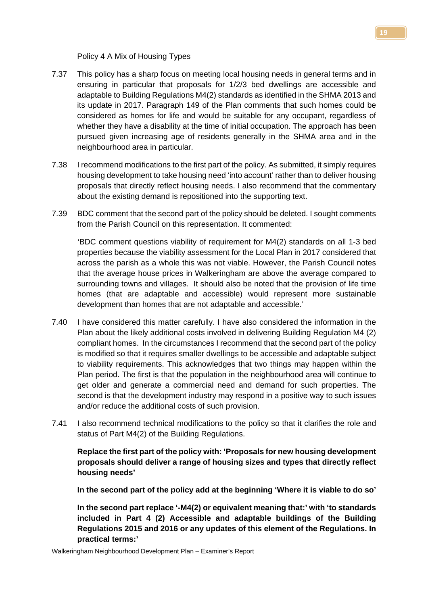Policy 4 A Mix of Housing Types

- 7.37 This policy has a sharp focus on meeting local housing needs in general terms and in ensuring in particular that proposals for 1/2/3 bed dwellings are accessible and adaptable to Building Regulations M4(2) standards as identified in the SHMA 2013 and its update in 2017. Paragraph 149 of the Plan comments that such homes could be considered as homes for life and would be suitable for any occupant, regardless of whether they have a disability at the time of initial occupation. The approach has been pursued given increasing age of residents generally in the SHMA area and in the neighbourhood area in particular.
- 7.38 I recommend modifications to the first part of the policy. As submitted, it simply requires housing development to take housing need 'into account' rather than to deliver housing proposals that directly reflect housing needs. I also recommend that the commentary about the existing demand is repositioned into the supporting text.
- 7.39 BDC comment that the second part of the policy should be deleted. I sought comments from the Parish Council on this representation. It commented:

'BDC comment questions viability of requirement for M4(2) standards on all 1-3 bed properties because the viability assessment for the Local Plan in 2017 considered that across the parish as a whole this was not viable. However, the Parish Council notes that the average house prices in Walkeringham are above the average compared to surrounding towns and villages. It should also be noted that the provision of life time homes (that are adaptable and accessible) would represent more sustainable development than homes that are not adaptable and accessible.'

- 7.40 I have considered this matter carefully. I have also considered the information in the Plan about the likely additional costs involved in delivering Building Regulation M4 (2) compliant homes. In the circumstances I recommend that the second part of the policy is modified so that it requires smaller dwellings to be accessible and adaptable subject to viability requirements. This acknowledges that two things may happen within the Plan period. The first is that the population in the neighbourhood area will continue to get older and generate a commercial need and demand for such properties. The second is that the development industry may respond in a positive way to such issues and/or reduce the additional costs of such provision.
- 7.41 I also recommend technical modifications to the policy so that it clarifies the role and status of Part M4(2) of the Building Regulations.

**Replace the first part of the policy with: 'Proposals for new housing development proposals should deliver a range of housing sizes and types that directly reflect housing needs'**

**In the second part of the policy add at the beginning 'Where it is viable to do so'**

**In the second part replace '-M4(2) or equivalent meaning that:' with 'to standards included in Part 4 (2) Accessible and adaptable buildings of the Building Regulations 2015 and 2016 or any updates of this element of the Regulations. In practical terms:'**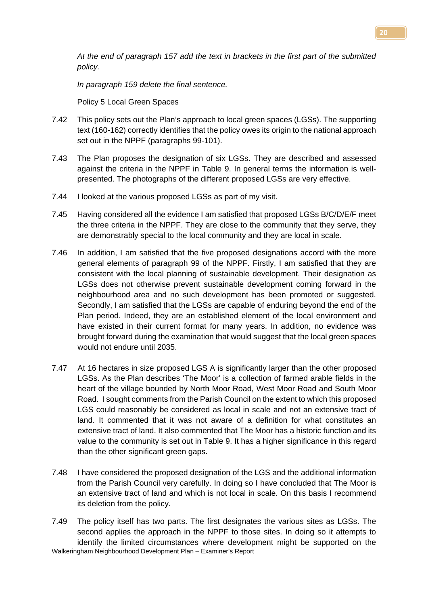*At the end of paragraph 157 add the text in brackets in the first part of the submitted policy.*

*In paragraph 159 delete the final sentence.* 

Policy 5 Local Green Spaces

- 7.42 This policy sets out the Plan's approach to local green spaces (LGSs). The supporting text (160-162) correctly identifies that the policy owes its origin to the national approach set out in the NPPF (paragraphs 99-101).
- 7.43 The Plan proposes the designation of six LGSs. They are described and assessed against the criteria in the NPPF in Table 9. In general terms the information is wellpresented. The photographs of the different proposed LGSs are very effective.
- 7.44 I looked at the various proposed LGSs as part of my visit.
- 7.45 Having considered all the evidence I am satisfied that proposed LGSs B/C/D/E/F meet the three criteria in the NPPF. They are close to the community that they serve, they are demonstrably special to the local community and they are local in scale.
- 7.46 In addition, I am satisfied that the five proposed designations accord with the more general elements of paragraph 99 of the NPPF. Firstly, I am satisfied that they are consistent with the local planning of sustainable development. Their designation as LGSs does not otherwise prevent sustainable development coming forward in the neighbourhood area and no such development has been promoted or suggested. Secondly, I am satisfied that the LGSs are capable of enduring beyond the end of the Plan period. Indeed, they are an established element of the local environment and have existed in their current format for many years. In addition, no evidence was brought forward during the examination that would suggest that the local green spaces would not endure until 2035.
- 7.47 At 16 hectares in size proposed LGS A is significantly larger than the other proposed LGSs. As the Plan describes 'The Moor' is a collection of farmed arable fields in the heart of the village bounded by North Moor Road, West Moor Road and South Moor Road. I sought comments from the Parish Council on the extent to which this proposed LGS could reasonably be considered as local in scale and not an extensive tract of land. It commented that it was not aware of a definition for what constitutes an extensive tract of land. It also commented that The Moor has a historic function and its value to the community is set out in Table 9. It has a higher significance in this regard than the other significant green gaps.
- 7.48 I have considered the proposed designation of the LGS and the additional information from the Parish Council very carefully. In doing so I have concluded that The Moor is an extensive tract of land and which is not local in scale. On this basis I recommend its deletion from the policy.
- Walkeringham Neighbourhood Development Plan Examiner's Report 7.49 The policy itself has two parts. The first designates the various sites as LGSs. The second applies the approach in the NPPF to those sites. In doing so it attempts to identify the limited circumstances where development might be supported on the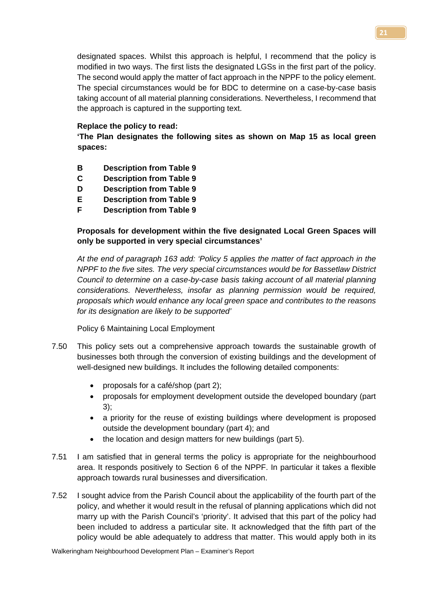designated spaces. Whilst this approach is helpful, I recommend that the policy is modified in two ways. The first lists the designated LGSs in the first part of the policy. The second would apply the matter of fact approach in the NPPF to the policy element. The special circumstances would be for BDC to determine on a case-by-case basis taking account of all material planning considerations. Nevertheless, I recommend that the approach is captured in the supporting text.

## **Replace the policy to read:**

**'The Plan designates the following sites as shown on Map 15 as local green spaces:**

- **B Description from Table 9**
- **C Description from Table 9**
- **D Description from Table 9**
- **E Description from Table 9**
- **F Description from Table 9**

# **Proposals for development within the five designated Local Green Spaces will only be supported in very special circumstances'**

*At the end of paragraph 163 add: 'Policy 5 applies the matter of fact approach in the NPPF to the five sites. The very special circumstances would be for Bassetlaw District Council to determine on a case-by-case basis taking account of all material planning considerations. Nevertheless, insofar as planning permission would be required, proposals which would enhance any local green space and contributes to the reasons for its designation are likely to be supported'*

Policy 6 Maintaining Local Employment

- 7.50 This policy sets out a comprehensive approach towards the sustainable growth of businesses both through the conversion of existing buildings and the development of well-designed new buildings. It includes the following detailed components:
	- proposals for a café/shop (part 2);
	- proposals for employment development outside the developed boundary (part 3);
	- a priority for the reuse of existing buildings where development is proposed outside the development boundary (part 4); and
	- the location and design matters for new buildings (part 5).
- 7.51 I am satisfied that in general terms the policy is appropriate for the neighbourhood area. It responds positively to Section 6 of the NPPF. In particular it takes a flexible approach towards rural businesses and diversification.
- 7.52 I sought advice from the Parish Council about the applicability of the fourth part of the policy, and whether it would result in the refusal of planning applications which did not marry up with the Parish Council's 'priority'. It advised that this part of the policy had been included to address a particular site. It acknowledged that the fifth part of the policy would be able adequately to address that matter. This would apply both in its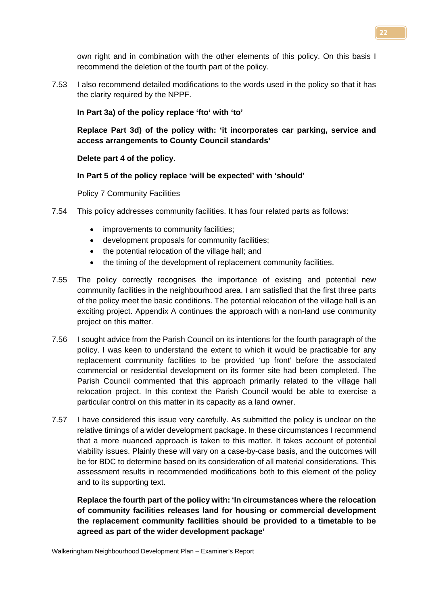own right and in combination with the other elements of this policy. On this basis I recommend the deletion of the fourth part of the policy.

7.53 I also recommend detailed modifications to the words used in the policy so that it has the clarity required by the NPPF.

**In Part 3a) of the policy replace 'fto' with 'to'**

**Replace Part 3d) of the policy with: 'it incorporates car parking, service and access arrangements to County Council standards'**

**Delete part 4 of the policy.**

## **In Part 5 of the policy replace 'will be expected' with 'should'**

Policy 7 Community Facilities

- 7.54 This policy addresses community facilities. It has four related parts as follows:
	- improvements to community facilities;
	- development proposals for community facilities;
	- the potential relocation of the village hall; and
	- the timing of the development of replacement community facilities.
- 7.55 The policy correctly recognises the importance of existing and potential new community facilities in the neighbourhood area. I am satisfied that the first three parts of the policy meet the basic conditions. The potential relocation of the village hall is an exciting project. Appendix A continues the approach with a non-land use community project on this matter.
- 7.56 I sought advice from the Parish Council on its intentions for the fourth paragraph of the policy. I was keen to understand the extent to which it would be practicable for any replacement community facilities to be provided 'up front' before the associated commercial or residential development on its former site had been completed. The Parish Council commented that this approach primarily related to the village hall relocation project. In this context the Parish Council would be able to exercise a particular control on this matter in its capacity as a land owner.
- 7.57 I have considered this issue very carefully. As submitted the policy is unclear on the relative timings of a wider development package. In these circumstances I recommend that a more nuanced approach is taken to this matter. It takes account of potential viability issues. Plainly these will vary on a case-by-case basis, and the outcomes will be for BDC to determine based on its consideration of all material considerations. This assessment results in recommended modifications both to this element of the policy and to its supporting text.

**Replace the fourth part of the policy with: 'In circumstances where the relocation of community facilities releases land for housing or commercial development the replacement community facilities should be provided to a timetable to be agreed as part of the wider development package'**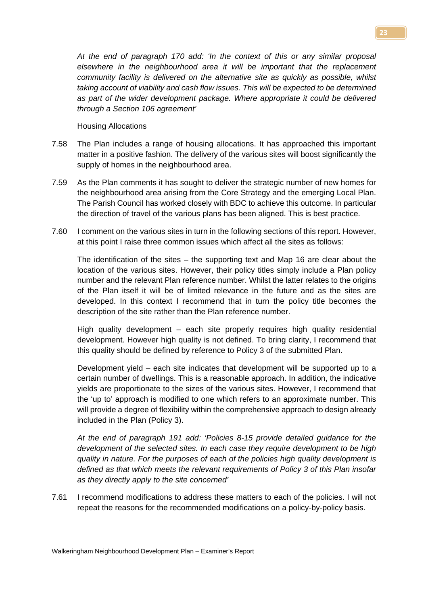*At the end of paragraph 170 add: 'In the context of this or any similar proposal elsewhere in the neighbourhood area it will be important that the replacement community facility is delivered on the alternative site as quickly as possible, whilst taking account of viability and cash flow issues. This will be expected to be determined as part of the wider development package. Where appropriate it could be delivered through a Section 106 agreement'*

#### Housing Allocations

- 7.58 The Plan includes a range of housing allocations. It has approached this important matter in a positive fashion. The delivery of the various sites will boost significantly the supply of homes in the neighbourhood area.
- 7.59 As the Plan comments it has sought to deliver the strategic number of new homes for the neighbourhood area arising from the Core Strategy and the emerging Local Plan. The Parish Council has worked closely with BDC to achieve this outcome. In particular the direction of travel of the various plans has been aligned. This is best practice.
- 7.60 I comment on the various sites in turn in the following sections of this report. However, at this point I raise three common issues which affect all the sites as follows:

The identification of the sites – the supporting text and Map 16 are clear about the location of the various sites. However, their policy titles simply include a Plan policy number and the relevant Plan reference number. Whilst the latter relates to the origins of the Plan itself it will be of limited relevance in the future and as the sites are developed. In this context I recommend that in turn the policy title becomes the description of the site rather than the Plan reference number.

High quality development – each site properly requires high quality residential development. However high quality is not defined. To bring clarity, I recommend that this quality should be defined by reference to Policy 3 of the submitted Plan.

Development yield – each site indicates that development will be supported up to a certain number of dwellings. This is a reasonable approach. In addition, the indicative yields are proportionate to the sizes of the various sites. However, I recommend that the 'up to' approach is modified to one which refers to an approximate number. This will provide a degree of flexibility within the comprehensive approach to design already included in the Plan (Policy 3).

*At the end of paragraph 191 add: 'Policies 8-15 provide detailed guidance for the development of the selected sites. In each case they require development to be high quality in nature. For the purposes of each of the policies high quality development is defined as that which meets the relevant requirements of Policy 3 of this Plan insofar as they directly apply to the site concerned'*

7.61 I recommend modifications to address these matters to each of the policies. I will not repeat the reasons for the recommended modifications on a policy-by-policy basis.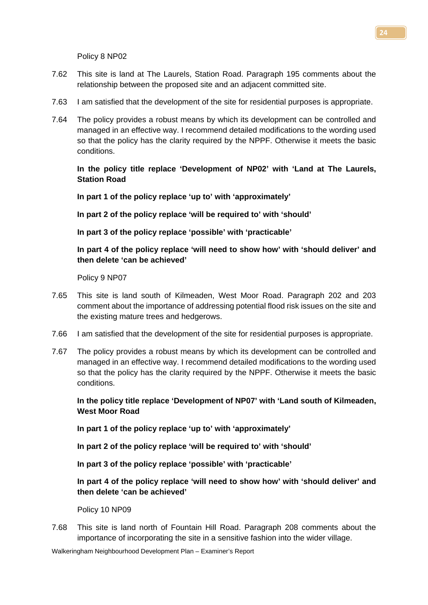Policy 8 NP02

- 7.62 This site is land at The Laurels, Station Road. Paragraph 195 comments about the relationship between the proposed site and an adjacent committed site.
- 7.63 I am satisfied that the development of the site for residential purposes is appropriate.
- 7.64 The policy provides a robust means by which its development can be controlled and managed in an effective way. I recommend detailed modifications to the wording used so that the policy has the clarity required by the NPPF. Otherwise it meets the basic conditions.

**In the policy title replace 'Development of NP02' with 'Land at The Laurels, Station Road**

**In part 1 of the policy replace 'up to' with 'approximately'**

**In part 2 of the policy replace 'will be required to' with 'should'**

**In part 3 of the policy replace 'possible' with 'practicable'**

**In part 4 of the policy replace 'will need to show how' with 'should deliver' and then delete 'can be achieved'**

Policy 9 NP07

- 7.65 This site is land south of Kilmeaden, West Moor Road. Paragraph 202 and 203 comment about the importance of addressing potential flood risk issues on the site and the existing mature trees and hedgerows.
- 7.66 I am satisfied that the development of the site for residential purposes is appropriate.
- 7.67 The policy provides a robust means by which its development can be controlled and managed in an effective way. I recommend detailed modifications to the wording used so that the policy has the clarity required by the NPPF. Otherwise it meets the basic conditions.

**In the policy title replace 'Development of NP07' with 'Land south of Kilmeaden, West Moor Road**

**In part 1 of the policy replace 'up to' with 'approximately'**

**In part 2 of the policy replace 'will be required to' with 'should'**

**In part 3 of the policy replace 'possible' with 'practicable'**

**In part 4 of the policy replace 'will need to show how' with 'should deliver' and then delete 'can be achieved'**

Policy 10 NP09

7.68 This site is land north of Fountain Hill Road. Paragraph 208 comments about the importance of incorporating the site in a sensitive fashion into the wider village.

Walkeringham Neighbourhood Development Plan – Examiner's Report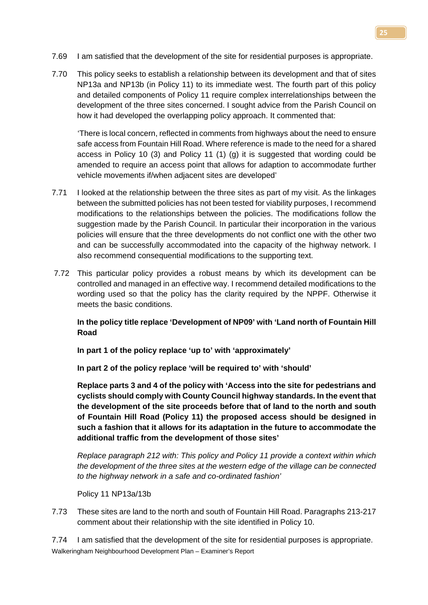- 7.69 I am satisfied that the development of the site for residential purposes is appropriate.
- 7.70 This policy seeks to establish a relationship between its development and that of sites NP13a and NP13b (in Policy 11) to its immediate west. The fourth part of this policy and detailed components of Policy 11 require complex interrelationships between the development of the three sites concerned. I sought advice from the Parish Council on how it had developed the overlapping policy approach. It commented that:

'There is local concern, reflected in comments from highways about the need to ensure safe access from Fountain Hill Road. Where reference is made to the need for a shared access in Policy 10 (3) and Policy 11 (1) (g) it is suggested that wording could be amended to require an access point that allows for adaption to accommodate further vehicle movements if/when adjacent sites are developed'

- 7.71 I looked at the relationship between the three sites as part of my visit. As the linkages between the submitted policies has not been tested for viability purposes, I recommend modifications to the relationships between the policies. The modifications follow the suggestion made by the Parish Council. In particular their incorporation in the various policies will ensure that the three developments do not conflict one with the other two and can be successfully accommodated into the capacity of the highway network. I also recommend consequential modifications to the supporting text.
- 7.72 This particular policy provides a robust means by which its development can be controlled and managed in an effective way. I recommend detailed modifications to the wording used so that the policy has the clarity required by the NPPF. Otherwise it meets the basic conditions.

**In the policy title replace 'Development of NP09' with 'Land north of Fountain Hill Road**

**In part 1 of the policy replace 'up to' with 'approximately'**

**In part 2 of the policy replace 'will be required to' with 'should'**

**Replace parts 3 and 4 of the policy with 'Access into the site for pedestrians and cyclists should comply with County Council highway standards. In the event that the development of the site proceeds before that of land to the north and south of Fountain Hill Road (Policy 11) the proposed access should be designed in such a fashion that it allows for its adaptation in the future to accommodate the additional traffic from the development of those sites'**

*Replace paragraph 212 with: This policy and Policy 11 provide a context within which the development of the three sites at the western edge of the village can be connected to the highway network in a safe and co-ordinated fashion'*

Policy 11 NP13a/13b

7.73 These sites are land to the north and south of Fountain Hill Road. Paragraphs 213-217 comment about their relationship with the site identified in Policy 10.

Walkeringham Neighbourhood Development Plan – Examiner's Report 7.74 I am satisfied that the development of the site for residential purposes is appropriate.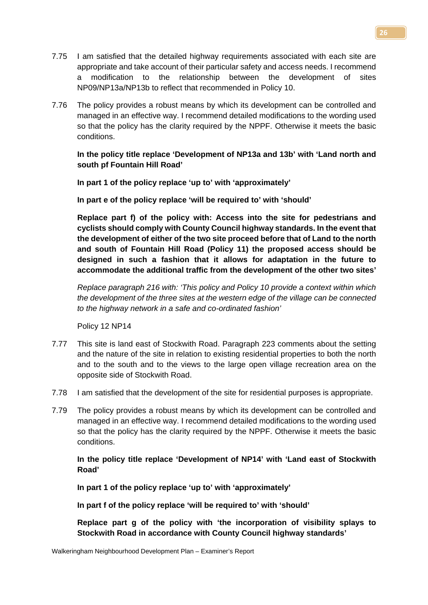- 7.75 I am satisfied that the detailed highway requirements associated with each site are appropriate and take account of their particular safety and access needs. I recommend a modification to the relationship between the development of sites NP09/NP13a/NP13b to reflect that recommended in Policy 10.
- 7.76 The policy provides a robust means by which its development can be controlled and managed in an effective way. I recommend detailed modifications to the wording used so that the policy has the clarity required by the NPPF. Otherwise it meets the basic conditions.

## **In the policy title replace 'Development of NP13a and 13b' with 'Land north and south pf Fountain Hill Road'**

**In part 1 of the policy replace 'up to' with 'approximately'**

**In part e of the policy replace 'will be required to' with 'should'**

**Replace part f) of the policy with: Access into the site for pedestrians and cyclists should comply with County Council highway standards. In the event that the development of either of the two site proceed before that of Land to the north and south of Fountain Hill Road (Policy 11) the proposed access should be designed in such a fashion that it allows for adaptation in the future to accommodate the additional traffic from the development of the other two sites'**

*Replace paragraph 216 with: 'This policy and Policy 10 provide a context within which the development of the three sites at the western edge of the village can be connected to the highway network in a safe and co-ordinated fashion'*

Policy 12 NP14

- 7.77 This site is land east of Stockwith Road. Paragraph 223 comments about the setting and the nature of the site in relation to existing residential properties to both the north and to the south and to the views to the large open village recreation area on the opposite side of Stockwith Road.
- 7.78 I am satisfied that the development of the site for residential purposes is appropriate.
- 7.79 The policy provides a robust means by which its development can be controlled and managed in an effective way. I recommend detailed modifications to the wording used so that the policy has the clarity required by the NPPF. Otherwise it meets the basic conditions.

**In the policy title replace 'Development of NP14' with 'Land east of Stockwith Road'**

**In part 1 of the policy replace 'up to' with 'approximately'**

**In part f of the policy replace 'will be required to' with 'should'**

**Replace part g of the policy with 'the incorporation of visibility splays to Stockwith Road in accordance with County Council highway standards'**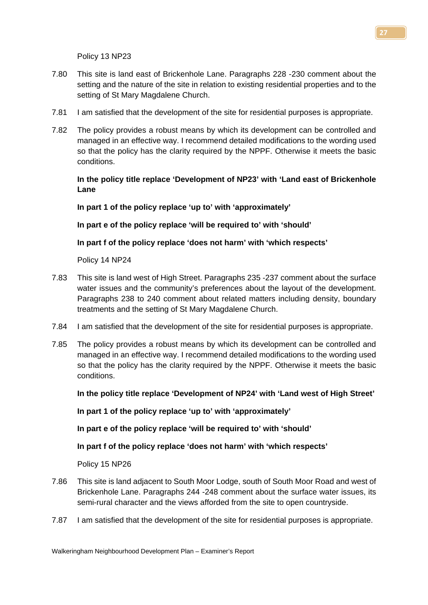Policy 13 NP23

- 7.80 This site is land east of Brickenhole Lane. Paragraphs 228 -230 comment about the setting and the nature of the site in relation to existing residential properties and to the setting of St Mary Magdalene Church.
- 7.81 I am satisfied that the development of the site for residential purposes is appropriate.
- 7.82 The policy provides a robust means by which its development can be controlled and managed in an effective way. I recommend detailed modifications to the wording used so that the policy has the clarity required by the NPPF. Otherwise it meets the basic conditions.

**In the policy title replace 'Development of NP23' with 'Land east of Brickenhole Lane**

**In part 1 of the policy replace 'up to' with 'approximately'**

**In part e of the policy replace 'will be required to' with 'should'**

**In part f of the policy replace 'does not harm' with 'which respects'**

Policy 14 NP24

- 7.83 This site is land west of High Street. Paragraphs 235 -237 comment about the surface water issues and the community's preferences about the layout of the development. Paragraphs 238 to 240 comment about related matters including density, boundary treatments and the setting of St Mary Magdalene Church.
- 7.84 I am satisfied that the development of the site for residential purposes is appropriate.
- 7.85 The policy provides a robust means by which its development can be controlled and managed in an effective way. I recommend detailed modifications to the wording used so that the policy has the clarity required by the NPPF. Otherwise it meets the basic conditions.

**In the policy title replace 'Development of NP24' with 'Land west of High Street'**

**In part 1 of the policy replace 'up to' with 'approximately'**

**In part e of the policy replace 'will be required to' with 'should'**

**In part f of the policy replace 'does not harm' with 'which respects'**

Policy 15 NP26

- 7.86 This site is land adjacent to South Moor Lodge, south of South Moor Road and west of Brickenhole Lane. Paragraphs 244 -248 comment about the surface water issues, its semi-rural character and the views afforded from the site to open countryside.
- 7.87 I am satisfied that the development of the site for residential purposes is appropriate.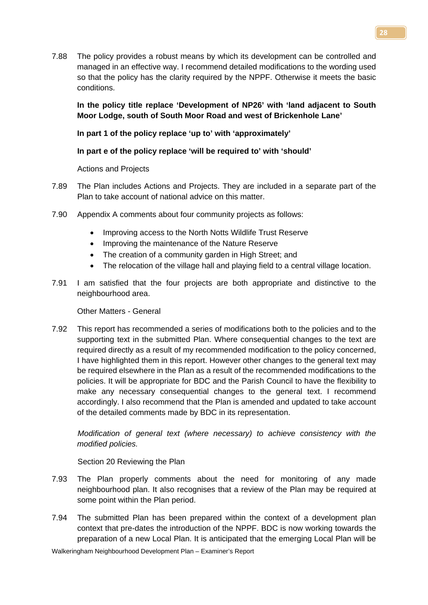7.88 The policy provides a robust means by which its development can be controlled and managed in an effective way. I recommend detailed modifications to the wording used so that the policy has the clarity required by the NPPF. Otherwise it meets the basic conditions.

**In the policy title replace 'Development of NP26' with 'land adjacent to South Moor Lodge, south of South Moor Road and west of Brickenhole Lane'**

# **In part 1 of the policy replace 'up to' with 'approximately'**

# **In part e of the policy replace 'will be required to' with 'should'**

Actions and Projects

- 7.89 The Plan includes Actions and Projects. They are included in a separate part of the Plan to take account of national advice on this matter.
- 7.90 Appendix A comments about four community projects as follows:
	- Improving access to the North Notts Wildlife Trust Reserve
	- Improving the maintenance of the Nature Reserve
	- The creation of a community garden in High Street; and
	- The relocation of the village hall and playing field to a central village location.
- 7.91 I am satisfied that the four projects are both appropriate and distinctive to the neighbourhood area.

Other Matters - General

7.92 This report has recommended a series of modifications both to the policies and to the supporting text in the submitted Plan. Where consequential changes to the text are required directly as a result of my recommended modification to the policy concerned, I have highlighted them in this report. However other changes to the general text may be required elsewhere in the Plan as a result of the recommended modifications to the policies. It will be appropriate for BDC and the Parish Council to have the flexibility to make any necessary consequential changes to the general text. I recommend accordingly. I also recommend that the Plan is amended and updated to take account of the detailed comments made by BDC in its representation.

*Modification of general text (where necessary) to achieve consistency with the modified policies.*

Section 20 Reviewing the Plan

- 7.93 The Plan properly comments about the need for monitoring of any made neighbourhood plan. It also recognises that a review of the Plan may be required at some point within the Plan period.
- 7.94 The submitted Plan has been prepared within the context of a development plan context that pre-dates the introduction of the NPPF. BDC is now working towards the preparation of a new Local Plan. It is anticipated that the emerging Local Plan will be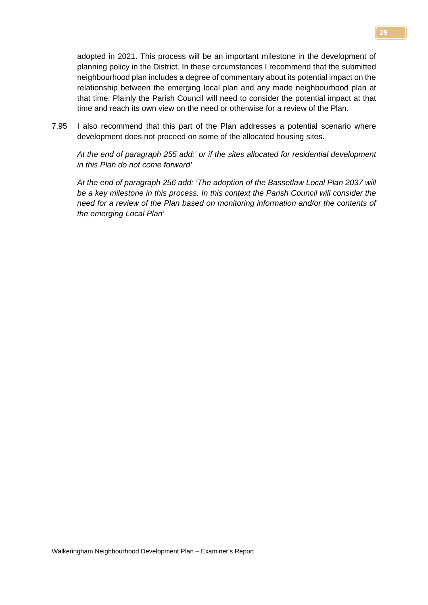adopted in 2021. This process will be an important milestone in the development of planning policy in the District. In these circumstances I recommend that the submitted neighbourhood plan includes a degree of commentary about its potential impact on the relationship between the emerging local plan and any made neighbourhood plan at that time. Plainly the Parish Council will need to consider the potential impact at that time and reach its own view on the need or otherwise for a review of the Plan.

7.95 I also recommend that this part of the Plan addresses a potential scenario where development does not proceed on some of the allocated housing sites.

*At the end of paragraph 255 add:' or if the sites allocated for residential development in this Plan do not come forward'*

*At the end of paragraph 256 add: 'The adoption of the Bassetlaw Local Plan 2037 will be a key milestone in this process. In this context the Parish Council will consider the need for a review of the Plan based on monitoring information and/or the contents of the emerging Local Plan'*